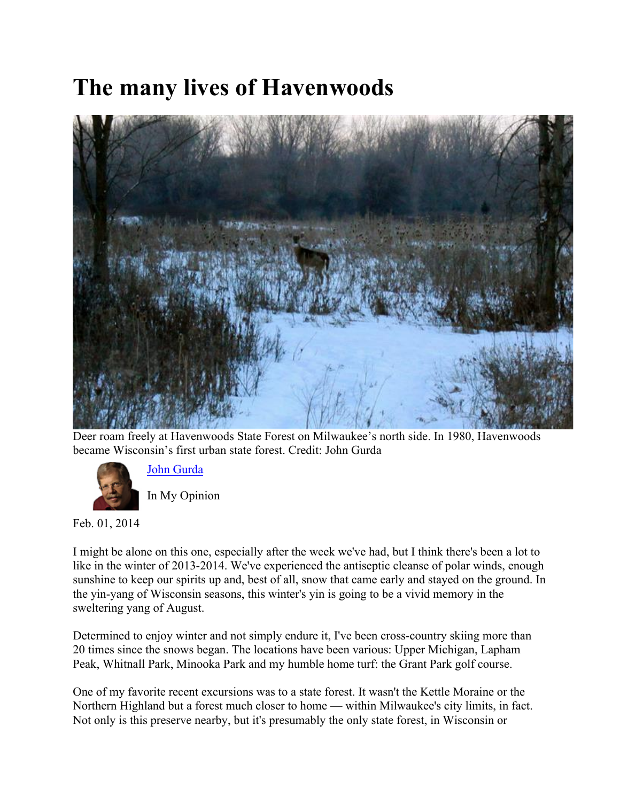## **The many lives of Havenwoods**



Deer roam freely at Havenwoods State Forest on Milwaukee's north side. In 1980, Havenwoods became Wisconsin's first urban state forest. Credit: John Gurda



John Gurda

In My Opinion

Feb. 01, 2014

I might be alone on this one, especially after the week we've had, but I think there's been a lot to like in the winter of 2013-2014. We've experienced the antiseptic cleanse of polar winds, enough sunshine to keep our spirits up and, best of all, snow that came early and stayed on the ground. In the yin-yang of Wisconsin seasons, this winter's yin is going to be a vivid memory in the sweltering yang of August.

Determined to enjoy winter and not simply endure it, I've been cross-country skiing more than 20 times since the snows began. The locations have been various: Upper Michigan, Lapham Peak, Whitnall Park, Minooka Park and my humble home turf: the Grant Park golf course.

One of my favorite recent excursions was to a state forest. It wasn't the Kettle Moraine or the Northern Highland but a forest much closer to home — within Milwaukee's city limits, in fact. Not only is this preserve nearby, but it's presumably the only state forest, in Wisconsin or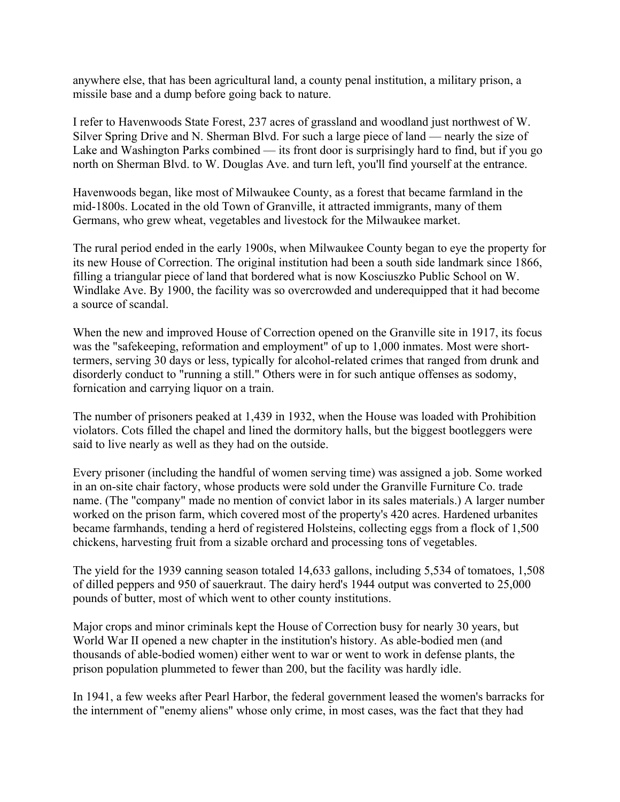anywhere else, that has been agricultural land, a county penal institution, a military prison, a missile base and a dump before going back to nature.

I refer to Havenwoods State Forest, 237 acres of grassland and woodland just northwest of W. Silver Spring Drive and N. Sherman Blvd. For such a large piece of land — nearly the size of Lake and Washington Parks combined — its front door is surprisingly hard to find, but if you go north on Sherman Blvd. to W. Douglas Ave. and turn left, you'll find yourself at the entrance.

Havenwoods began, like most of Milwaukee County, as a forest that became farmland in the mid-1800s. Located in the old Town of Granville, it attracted immigrants, many of them Germans, who grew wheat, vegetables and livestock for the Milwaukee market.

The rural period ended in the early 1900s, when Milwaukee County began to eye the property for its new House of Correction. The original institution had been a south side landmark since 1866, filling a triangular piece of land that bordered what is now Kosciuszko Public School on W. Windlake Ave. By 1900, the facility was so overcrowded and underequipped that it had become a source of scandal.

When the new and improved House of Correction opened on the Granville site in 1917, its focus was the "safekeeping, reformation and employment" of up to 1,000 inmates. Most were shorttermers, serving 30 days or less, typically for alcohol-related crimes that ranged from drunk and disorderly conduct to "running a still." Others were in for such antique offenses as sodomy, fornication and carrying liquor on a train.

The number of prisoners peaked at 1,439 in 1932, when the House was loaded with Prohibition violators. Cots filled the chapel and lined the dormitory halls, but the biggest bootleggers were said to live nearly as well as they had on the outside.

Every prisoner (including the handful of women serving time) was assigned a job. Some worked in an on-site chair factory, whose products were sold under the Granville Furniture Co. trade name. (The "company" made no mention of convict labor in its sales materials.) A larger number worked on the prison farm, which covered most of the property's 420 acres. Hardened urbanites became farmhands, tending a herd of registered Holsteins, collecting eggs from a flock of 1,500 chickens, harvesting fruit from a sizable orchard and processing tons of vegetables.

The yield for the 1939 canning season totaled 14,633 gallons, including 5,534 of tomatoes, 1,508 of dilled peppers and 950 of sauerkraut. The dairy herd's 1944 output was converted to 25,000 pounds of butter, most of which went to other county institutions.

Major crops and minor criminals kept the House of Correction busy for nearly 30 years, but World War II opened a new chapter in the institution's history. As able-bodied men (and thousands of able-bodied women) either went to war or went to work in defense plants, the prison population plummeted to fewer than 200, but the facility was hardly idle.

In 1941, a few weeks after Pearl Harbor, the federal government leased the women's barracks for the internment of "enemy aliens" whose only crime, in most cases, was the fact that they had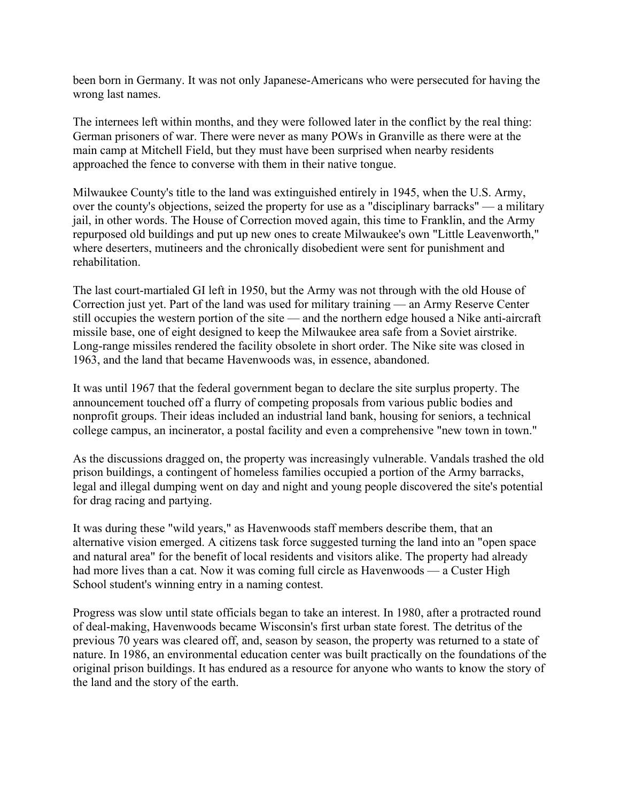been born in Germany. It was not only Japanese-Americans who were persecuted for having the wrong last names.

The internees left within months, and they were followed later in the conflict by the real thing: German prisoners of war. There were never as many POWs in Granville as there were at the main camp at Mitchell Field, but they must have been surprised when nearby residents approached the fence to converse with them in their native tongue.

Milwaukee County's title to the land was extinguished entirely in 1945, when the U.S. Army, over the county's objections, seized the property for use as a "disciplinary barracks" — a military jail, in other words. The House of Correction moved again, this time to Franklin, and the Army repurposed old buildings and put up new ones to create Milwaukee's own "Little Leavenworth," where deserters, mutineers and the chronically disobedient were sent for punishment and rehabilitation.

The last court-martialed GI left in 1950, but the Army was not through with the old House of Correction just yet. Part of the land was used for military training — an Army Reserve Center still occupies the western portion of the site — and the northern edge housed a Nike anti-aircraft missile base, one of eight designed to keep the Milwaukee area safe from a Soviet airstrike. Long-range missiles rendered the facility obsolete in short order. The Nike site was closed in 1963, and the land that became Havenwoods was, in essence, abandoned.

It was until 1967 that the federal government began to declare the site surplus property. The announcement touched off a flurry of competing proposals from various public bodies and nonprofit groups. Their ideas included an industrial land bank, housing for seniors, a technical college campus, an incinerator, a postal facility and even a comprehensive "new town in town."

As the discussions dragged on, the property was increasingly vulnerable. Vandals trashed the old prison buildings, a contingent of homeless families occupied a portion of the Army barracks, legal and illegal dumping went on day and night and young people discovered the site's potential for drag racing and partying.

It was during these "wild years," as Havenwoods staff members describe them, that an alternative vision emerged. A citizens task force suggested turning the land into an "open space and natural area" for the benefit of local residents and visitors alike. The property had already had more lives than a cat. Now it was coming full circle as Havenwoods — a Custer High School student's winning entry in a naming contest.

Progress was slow until state officials began to take an interest. In 1980, after a protracted round of deal-making, Havenwoods became Wisconsin's first urban state forest. The detritus of the previous 70 years was cleared off, and, season by season, the property was returned to a state of nature. In 1986, an environmental education center was built practically on the foundations of the original prison buildings. It has endured as a resource for anyone who wants to know the story of the land and the story of the earth.